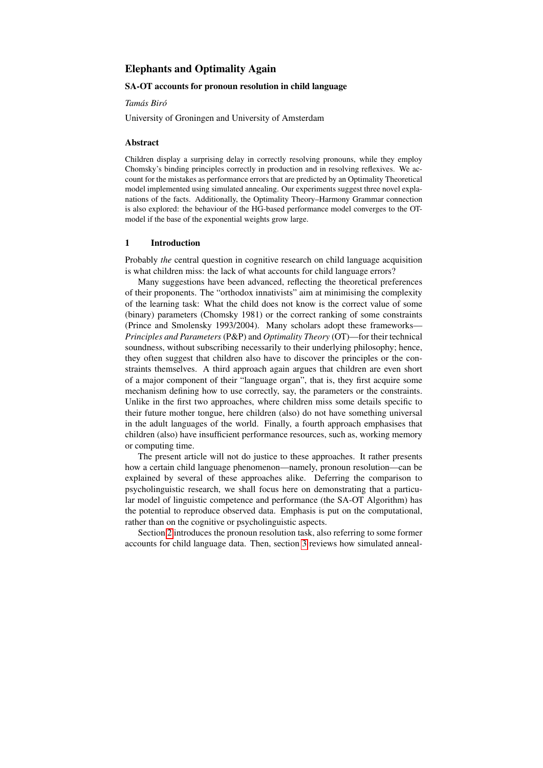# Elephants and Optimality Again

#### SA-OT accounts for pronoun resolution in child language

#### *Tamas Bir ´ o´*

University of Groningen and University of Amsterdam

#### Abstract

Children display a surprising delay in correctly resolving pronouns, while they employ Chomsky's binding principles correctly in production and in resolving reflexives. We account for the mistakes as performance errors that are predicted by an Optimality Theoretical model implemented using simulated annealing. Our experiments suggest three novel explanations of the facts. Additionally, the Optimality Theory–Harmony Grammar connection is also explored: the behaviour of the HG-based performance model converges to the OTmodel if the base of the exponential weights grow large.

#### <span id="page-0-0"></span>1 Introduction

Probably *the* central question in cognitive research on child language acquisition is what children miss: the lack of what accounts for child language errors?

Many suggestions have been advanced, reflecting the theoretical preferences of their proponents. The "orthodox innativists" aim at minimising the complexity of the learning task: What the child does not know is the correct value of some (binary) parameters (Chomsky 1981) or the correct ranking of some constraints (Prince and Smolensky 1993/2004). Many scholars adopt these frameworks— *Principles and Parameters* (P&P) and *Optimality Theory* (OT)—for their technical soundness, without subscribing necessarily to their underlying philosophy; hence, they often suggest that children also have to discover the principles or the constraints themselves. A third approach again argues that children are even short of a major component of their "language organ", that is, they first acquire some mechanism defining how to use correctly, say, the parameters or the constraints. Unlike in the first two approaches, where children miss some details specific to their future mother tongue, here children (also) do not have something universal in the adult languages of the world. Finally, a fourth approach emphasises that children (also) have insufficient performance resources, such as, working memory or computing time.

The present article will not do justice to these approaches. It rather presents how a certain child language phenomenon—namely, pronoun resolution—can be explained by several of these approaches alike. Deferring the comparison to psycholinguistic research, we shall focus here on demonstrating that a particular model of linguistic competence and performance (the SA-OT Algorithm) has the potential to reproduce observed data. Emphasis is put on the computational, rather than on the cognitive or psycholinguistic aspects.

Section [2](#page-1-0) introduces the pronoun resolution task, also referring to some former accounts for child language data. Then, section [3](#page-3-0) reviews how simulated anneal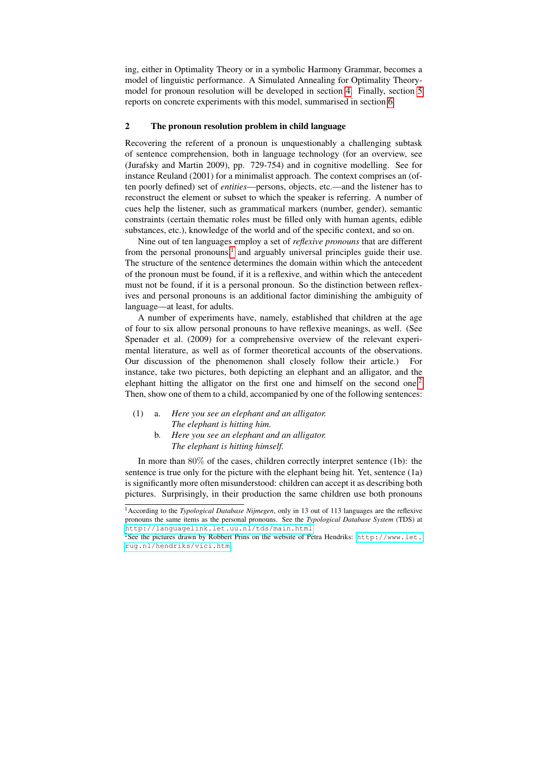ing, either in Optimality Theory or in a symbolic Harmony Grammar, becomes a model of linguistic performance. A Simulated Annealing for Optimality Theorymodel for pronoun resolution will be developed in section [4.](#page-7-0) Finally, section [5](#page-9-0) reports on concrete experiments with this model, summarised in section [6.](#page-13-0)

## <span id="page-1-0"></span>2 The pronoun resolution problem in child language

Recovering the referent of a pronoun is unquestionably a challenging subtask of sentence comprehension, both in language technology (for an overview, see (Jurafsky and Martin 2009), pp. 729-754) and in cognitive modelling. See for instance Reuland (2001) for a minimalist approach. The context comprises an (often poorly defined) set of *entities*—persons, objects, etc.—and the listener has to reconstruct the element or subset to which the speaker is referring. A number of cues help the listener, such as grammatical markers (number, gender), semantic constraints (certain thematic roles must be filled only with human agents, edible substances, etc.), knowledge of the world and of the specific context, and so on.

Nine out of ten languages employ a set of *reflexive pronouns* that are different from the personal pronouns,<sup>[1](#page-1-1)</sup> and arguably universal principles guide their use. The structure of the sentence determines the domain within which the antecedent of the pronoun must be found, if it is a reflexive, and within which the antecedent must not be found, if it is a personal pronoun. So the distinction between reflexives and personal pronouns is an additional factor diminishing the ambiguity of language—at least, for adults.

A number of experiments have, namely, established that children at the age of four to six allow personal pronouns to have reflexive meanings, as well. (See Spenader et al. (2009) for a comprehensive overview of the relevant experimental literature, as well as of former theoretical accounts of the observations. Our discussion of the phenomenon shall closely follow their article.) For instance, take two pictures, both depicting an elephant and an alligator, and the elephant hitting the alligator on the first one and himself on the second one.<sup>[2](#page-1-2)</sup> Then, show one of them to a child, accompanied by one of the following sentences:

- (1) a. *Here you see an elephant and an alligator. The elephant is hitting him.*
	- b. *Here you see an elephant and an alligator. The elephant is hitting himself.*

In more than 80% of the cases, children correctly interpret sentence (1b): the sentence is true only for the picture with the elephant being hit. Yet, sentence (1a) is significantly more often misunderstood: children can accept it as describing both pictures. Surprisingly, in their production the same children use both pronouns

<span id="page-1-1"></span><sup>1</sup>According to the *Typological Database Nijmegen*, only in 13 out of 113 languages are the reflexive pronouns the same items as the personal pronouns. See the *Typological Database System* (TDS) at <http://languagelink.let.uu.nl/tds/main.html>.

<span id="page-1-2"></span><sup>2</sup>See the pictures drawn by Robbert Prins on the website of Petra Hendriks: [http://www.let.](http://www.let.rug.nl/hendriks/vici.htm) [rug.nl/hendriks/vici.htm](http://www.let.rug.nl/hendriks/vici.htm).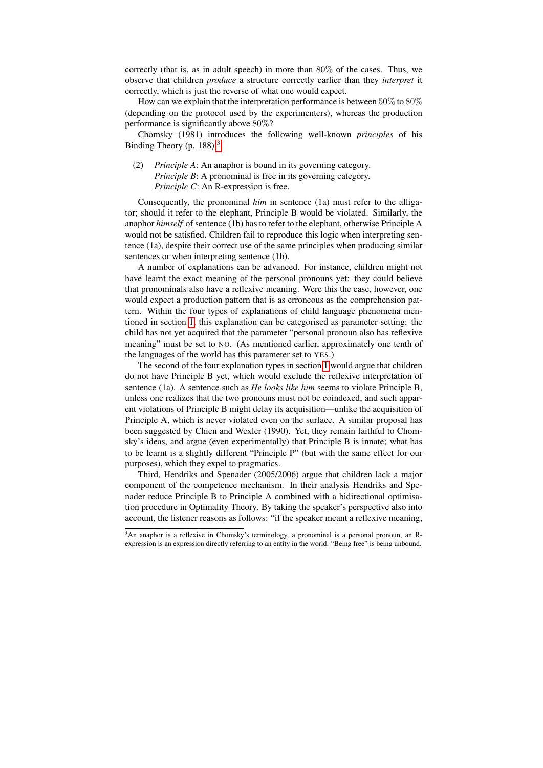correctly (that is, as in adult speech) in more than 80% of the cases. Thus, we observe that children *produce* a structure correctly earlier than they *interpret* it correctly, which is just the reverse of what one would expect.

How can we explain that the interpretation performance is between 50% to 80% (depending on the protocol used by the experimenters), whereas the production performance is significantly above 80%?

Chomsky (1981) introduces the following well-known *principles* of his Binding Theory (p. 188):<sup>[3](#page-2-0)</sup>

(2) *Principle A*: An anaphor is bound in its governing category. *Principle B*: A pronominal is free in its governing category. *Principle C*: An R-expression is free.

Consequently, the pronominal *him* in sentence (1a) must refer to the alligator; should it refer to the elephant, Principle B would be violated. Similarly, the anaphor *himself* of sentence (1b) has to refer to the elephant, otherwise Principle A would not be satisfied. Children fail to reproduce this logic when interpreting sentence (1a), despite their correct use of the same principles when producing similar sentences or when interpreting sentence (1b).

A number of explanations can be advanced. For instance, children might not have learnt the exact meaning of the personal pronouns yet: they could believe that pronominals also have a reflexive meaning. Were this the case, however, one would expect a production pattern that is as erroneous as the comprehension pattern. Within the four types of explanations of child language phenomena mentioned in section [1,](#page-0-0) this explanation can be categorised as parameter setting: the child has not yet acquired that the parameter "personal pronoun also has reflexive meaning" must be set to NO. (As mentioned earlier, approximately one tenth of the languages of the world has this parameter set to YES.)

The second of the four explanation types in section [1](#page-0-0) would argue that children do not have Principle B yet, which would exclude the reflexive interpretation of sentence (1a). A sentence such as *He looks like him* seems to violate Principle B, unless one realizes that the two pronouns must not be coindexed, and such apparent violations of Principle B might delay its acquisition—unlike the acquisition of Principle A, which is never violated even on the surface. A similar proposal has been suggested by Chien and Wexler (1990). Yet, they remain faithful to Chomsky's ideas, and argue (even experimentally) that Principle B is innate; what has to be learnt is a slightly different "Principle P" (but with the same effect for our purposes), which they expel to pragmatics.

Third, Hendriks and Spenader (2005/2006) argue that children lack a major component of the competence mechanism. In their analysis Hendriks and Spenader reduce Principle B to Principle A combined with a bidirectional optimisation procedure in Optimality Theory. By taking the speaker's perspective also into account, the listener reasons as follows: "if the speaker meant a reflexive meaning,

<span id="page-2-0"></span><sup>3</sup>An anaphor is a reflexive in Chomsky's terminology, a pronominal is a personal pronoun, an Rexpression is an expression directly referring to an entity in the world. "Being free" is being unbound.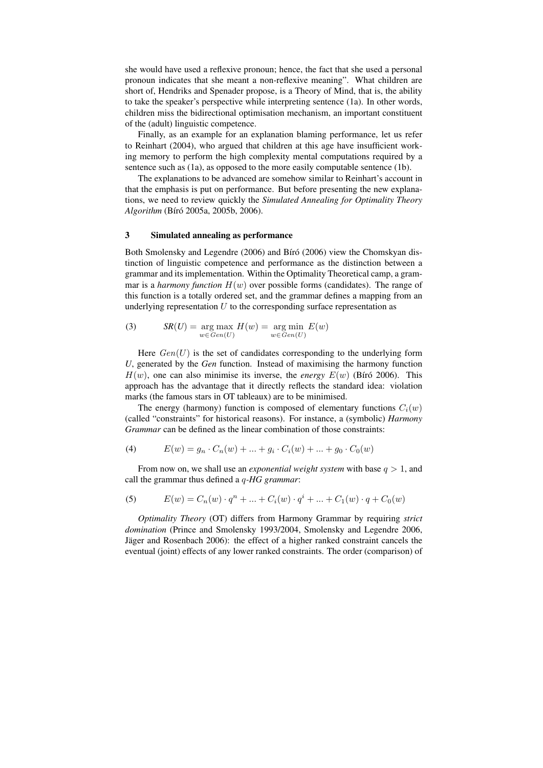she would have used a reflexive pronoun; hence, the fact that she used a personal pronoun indicates that she meant a non-reflexive meaning". What children are short of, Hendriks and Spenader propose, is a Theory of Mind, that is, the ability to take the speaker's perspective while interpreting sentence (1a). In other words, children miss the bidirectional optimisation mechanism, an important constituent of the (adult) linguistic competence.

Finally, as an example for an explanation blaming performance, let us refer to Reinhart (2004), who argued that children at this age have insufficient working memory to perform the high complexity mental computations required by a sentence such as (1a), as opposed to the more easily computable sentence (1b).

The explanations to be advanced are somehow similar to Reinhart's account in that the emphasis is put on performance. But before presenting the new explanations, we need to review quickly the *Simulated Annealing for Optimality Theory Algorithm* (Bíró 2005a, 2005b, 2006).

## <span id="page-3-0"></span>3 Simulated annealing as performance

Both Smolensky and Legendre (2006) and Bíró (2006) view the Chomskyan distinction of linguistic competence and performance as the distinction between a grammar and its implementation. Within the Optimality Theoretical camp, a grammar is a *harmony function*  $H(w)$  over possible forms (candidates). The range of this function is a totally ordered set, and the grammar defines a mapping from an underlying representation  $U$  to the corresponding surface representation as

<span id="page-3-1"></span>(3) 
$$
SR(U) = \underset{w \in Gen(U)}{\arg \max} H(w) = \underset{w \in Gen(U)}{\arg \min} E(w)
$$

Here  $Gen(U)$  is the set of candidates corresponding to the underlying form *U*, generated by the *Gen* function. Instead of maximising the harmony function  $H(w)$ , one can also minimise its inverse, the *energy*  $E(w)$  (Biró 2006). This approach has the advantage that it directly reflects the standard idea: violation marks (the famous stars in OT tableaux) are to be minimised.

The energy (harmony) function is composed of elementary functions  $C_i(w)$ (called "constraints" for historical reasons). For instance, a (symbolic) *Harmony Grammar* can be defined as the linear combination of those constraints:

(4) 
$$
E(w) = g_n \cdot C_n(w) + \dots + g_i \cdot C_i(w) + \dots + g_0 \cdot C_0(w)
$$

From now on, we shall use an *exponential weight system* with base  $q > 1$ , and call the grammar thus defined a q*-HG grammar*:

<span id="page-3-2"></span>(5) 
$$
E(w) = C_n(w) \cdot q^n + \dots + C_i(w) \cdot q^i + \dots + C_1(w) \cdot q + C_0(w)
$$

*Optimality Theory* (OT) differs from Harmony Grammar by requiring *strict domination* (Prince and Smolensky 1993/2004, Smolensky and Legendre 2006, Jäger and Rosenbach 2006): the effect of a higher ranked constraint cancels the eventual (joint) effects of any lower ranked constraints. The order (comparison) of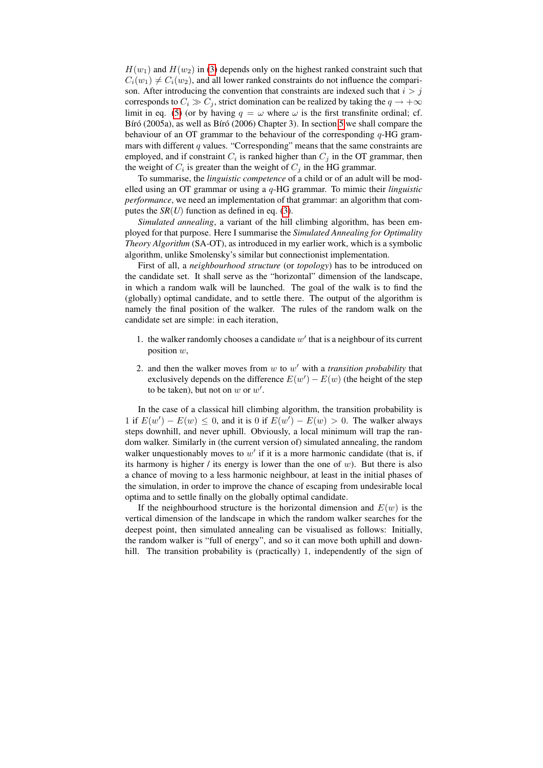$H(w_1)$  and  $H(w_2)$  in [\(3\)](#page-3-1) depends only on the highest ranked constraint such that  $C_i(w_1) \neq C_i(w_2)$ , and all lower ranked constraints do not influence the comparison. After introducing the convention that constraints are indexed such that  $i > j$ corresponds to  $C_i \gg C_j$ , strict domination can be realized by taking the  $q \to +\infty$ limit in eq. [\(5\)](#page-3-2) (or by having  $q = \omega$  where  $\omega$  is the first transfinite ordinal; cf. Bíró (2005a), as well as Bíró (2006) Chapter 3). In section [5](#page-9-0) we shall compare the behaviour of an OT grammar to the behaviour of the corresponding  $q$ -HG grammars with different  $q$  values. "Corresponding" means that the same constraints are employed, and if constraint  $C_i$  is ranked higher than  $C_j$  in the OT grammar, then the weight of  $C_i$  is greater than the weight of  $C_j$  in the HG grammar.

To summarise, the *linguistic competence* of a child or of an adult will be modelled using an OT grammar or using a q-HG grammar. To mimic their *linguistic performance*, we need an implementation of that grammar: an algorithm that computes the  $SR(U)$  function as defined in eq. [\(3\)](#page-3-1).

*Simulated annealing*, a variant of the hill climbing algorithm, has been employed for that purpose. Here I summarise the *Simulated Annealing for Optimality Theory Algorithm* (SA-OT), as introduced in my earlier work, which is a symbolic algorithm, unlike Smolensky's similar but connectionist implementation.

First of all, a *neighbourhood structure* (or *topology*) has to be introduced on the candidate set. It shall serve as the "horizontal" dimension of the landscape, in which a random walk will be launched. The goal of the walk is to find the (globally) optimal candidate, and to settle there. The output of the algorithm is namely the final position of the walker. The rules of the random walk on the candidate set are simple: in each iteration,

- 1. the walker randomly chooses a candidate  $w'$  that is a neighbour of its current position  $w$ ,
- 2. and then the walker moves from  $w$  to  $w'$  with a *transition probability* that exclusively depends on the difference  $E(w') - E(w)$  (the height of the step to be taken), but not on  $w$  or  $w'$ .

In the case of a classical hill climbing algorithm, the transition probability is 1 if  $E(w') - E(w) \le 0$ , and it is 0 if  $E(w') - E(w) > 0$ . The walker always steps downhill, and never uphill. Obviously, a local minimum will trap the random walker. Similarly in (the current version of) simulated annealing, the random walker unquestionably moves to  $w'$  if it is a more harmonic candidate (that is, if its harmony is higher / its energy is lower than the one of  $w$ ). But there is also a chance of moving to a less harmonic neighbour, at least in the initial phases of the simulation, in order to improve the chance of escaping from undesirable local optima and to settle finally on the globally optimal candidate.

If the neighbourhood structure is the horizontal dimension and  $E(w)$  is the vertical dimension of the landscape in which the random walker searches for the deepest point, then simulated annealing can be visualised as follows: Initially, the random walker is "full of energy", and so it can move both uphill and downhill. The transition probability is (practically) 1, independently of the sign of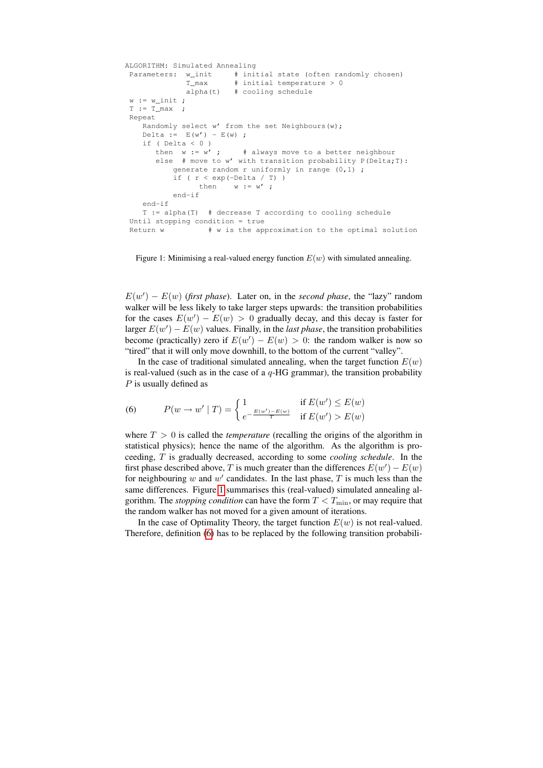```
ALGORITHM: Simulated Annealing
Parameters: w_{init} # initial state (often randomly chosen)
            T_max # initial temperature > 0
            alpha(t) # cooling schedule
w := w init ;
T := T_{max};
Repeat
  Randomly select w' from the set Neighbours(w);
  Delta := E(w') - E(w);
  if ( Delta < 0 )
     then w := w'; # always move to a better neighbour
     else # move to w' with transition probability P(Delta;T):
         generate random r uniformly in range (0,1) ;
         if ( r < exp(-Delta / T) )
               then w := w';
         end-if
  end-if
  T := alpha(T) # decrease T according to cooling schedule
Until stopping condition = true
Return w + w is the approximation to the optimal solution
```
<span id="page-5-0"></span>Figure 1: Minimising a real-valued energy function  $E(w)$  with simulated annealing.

 $E(w') - E(w)$  (first phase). Later on, in the *second phase*, the "lazy" random walker will be less likely to take larger steps upwards: the transition probabilities for the cases  $E(w') - E(w) > 0$  gradually decay, and this decay is faster for larger  $E(w') - E(w)$  values. Finally, in the *last phase*, the transition probabilities become (practically) zero if  $E(w') - E(w) > 0$ : the random walker is now so "tired" that it will only move downhill, to the bottom of the current "valley".

In the case of traditional simulated annealing, when the target function  $E(w)$ is real-valued (such as in the case of a  $q$ -HG grammar), the transition probability P is usually defined as

<span id="page-5-1"></span>(6) 
$$
P(w \to w' \mid T) = \begin{cases} 1 & \text{if } E(w') \le E(w) \\ e^{-\frac{E(w') - E(w)}{T}} & \text{if } E(w') > E(w) \end{cases}
$$

where  $T > 0$  is called the *temperature* (recalling the origins of the algorithm in statistical physics); hence the name of the algorithm. As the algorithm is proceeding, T is gradually decreased, according to some *cooling schedule*. In the first phase described above, T is much greater than the differences  $E(w') - E(w)$ for neighbouring w and  $w'$  candidates. In the last phase,  $T$  is much less than the same differences. Figure [1](#page-5-0) summarises this (real-valued) simulated annealing algorithm. The *stopping condition* can have the form  $T < T_{\text{min}}$ , or may require that the random walker has not moved for a given amount of iterations.

In the case of Optimality Theory, the target function  $E(w)$  is not real-valued. Therefore, definition [\(6\)](#page-5-1) has to be replaced by the following transition probabili-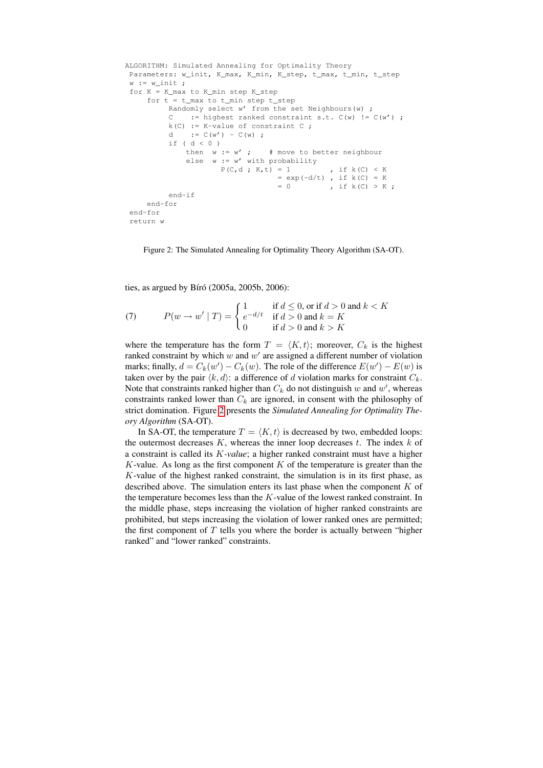```
ALGORITHM: Simulated Annealing for Optimality Theory
Parameters: w_init, K_max, K_min, K_step, t_max, t_min, t_step
w := w_init;
for K = K_max to K_min step K_step
   for t = t_{max} to t_{min} step t_{step}Randomly select w' from the set Neighbours(w) ;
         C := highest ranked constraint s.t. C(w) != C(w') ;
         k(C) := K-value of constraint C;
         d := C(w') - C(w) ;
         if ( d < 0 )<br>then w := w' ;
                              # move to better neighbour
            else w := w' with probability
                     P(C, d ; K, t) = 1 , if k(C) < K
                                  = exp(-d/t), if k(C) = K= 0 , if k(C) > K;
         end-if
    end-for
end-for
return w
```
<span id="page-6-0"></span>Figure 2: The Simulated Annealing for Optimality Theory Algorithm (SA-OT).

ties, as argued by Bíró (2005a, 2005b, 2006):

<span id="page-6-1"></span>(7) 
$$
P(w \rightarrow w' \mid T) = \begin{cases} 1 & \text{if } d \leq 0, \text{ or if } d > 0 \text{ and } k < K \\ e^{-d/t} & \text{if } d > 0 \text{ and } k = K \\ 0 & \text{if } d > 0 \text{ and } k > K \end{cases}
$$

where the temperature has the form  $T = \langle K, t \rangle$ ; moreover,  $C_k$  is the highest ranked constraint by which  $w$  and  $w'$  are assigned a different number of violation marks; finally,  $d = C_k(w') - C_k(w)$ . The role of the difference  $E(w') - E(w)$  is taken over by the pair  $\langle k, d \rangle$ : a difference of d violation marks for constraint  $C_k$ . Note that constraints ranked higher than  $C_k$  do not distinguish w and w', whereas constraints ranked lower than  $C_k$  are ignored, in consent with the philosophy of strict domination. Figure [2](#page-6-0) presents the *Simulated Annealing for Optimality Theory Algorithm* (SA-OT).

In SA-OT, the temperature  $T = \langle K, t \rangle$  is decreased by two, embedded loops: the outermost decreases  $K$ , whereas the inner loop decreases  $t$ . The index  $k$  of a constraint is called its K*-value*; a higher ranked constraint must have a higher K-value. As long as the first component  $K$  of the temperature is greater than the K-value of the highest ranked constraint, the simulation is in its first phase, as described above. The simulation enters its last phase when the component  $K$  of the temperature becomes less than the  $K$ -value of the lowest ranked constraint. In the middle phase, steps increasing the violation of higher ranked constraints are prohibited, but steps increasing the violation of lower ranked ones are permitted; the first component of  $T$  tells you where the border is actually between "higher ranked" and "lower ranked" constraints.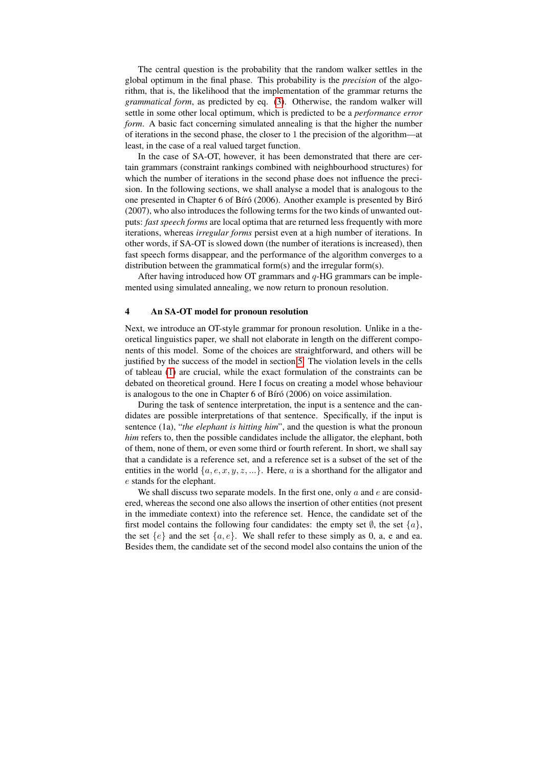The central question is the probability that the random walker settles in the global optimum in the final phase. This probability is the *precision* of the algorithm, that is, the likelihood that the implementation of the grammar returns the *grammatical form*, as predicted by eq. [\(3\)](#page-3-1). Otherwise, the random walker will settle in some other local optimum, which is predicted to be a *performance error form*. A basic fact concerning simulated annealing is that the higher the number of iterations in the second phase, the closer to 1 the precision of the algorithm—at least, in the case of a real valued target function.

In the case of SA-OT, however, it has been demonstrated that there are certain grammars (constraint rankings combined with neighbourhood structures) for which the number of iterations in the second phase does not influence the precision. In the following sections, we shall analyse a model that is analogous to the one presented in Chapter 6 of Bíró (2006). Another example is presented by Biró (2007), who also introduces the following terms for the two kinds of unwanted outputs: *fast speech forms* are local optima that are returned less frequently with more iterations, whereas *irregular forms* persist even at a high number of iterations. In other words, if SA-OT is slowed down (the number of iterations is increased), then fast speech forms disappear, and the performance of the algorithm converges to a distribution between the grammatical form(s) and the irregular form(s).

After having introduced how OT grammars and  $q$ -HG grammars can be implemented using simulated annealing, we now return to pronoun resolution.

### <span id="page-7-0"></span>4 An SA-OT model for pronoun resolution

Next, we introduce an OT-style grammar for pronoun resolution. Unlike in a theoretical linguistics paper, we shall not elaborate in length on the different components of this model. Some of the choices are straightforward, and others will be justified by the success of the model in section [5.](#page-9-0) The violation levels in the cells of tableau [\(1\)](#page-9-1) are crucial, while the exact formulation of the constraints can be debated on theoretical ground. Here I focus on creating a model whose behaviour is analogous to the one in Chapter  $6$  of Bíró (2006) on voice assimilation.

During the task of sentence interpretation, the input is a sentence and the candidates are possible interpretations of that sentence. Specifically, if the input is sentence (1a), "*the elephant is hitting him*", and the question is what the pronoun *him* refers to, then the possible candidates include the alligator, the elephant, both of them, none of them, or even some third or fourth referent. In short, we shall say that a candidate is a reference set, and a reference set is a subset of the set of the entities in the world  $\{a, e, x, y, z, \ldots\}$ . Here, a is a shorthand for the alligator and e stands for the elephant.

We shall discuss two separate models. In the first one, only  $a$  and  $e$  are considered, whereas the second one also allows the insertion of other entities (not present in the immediate context) into the reference set. Hence, the candidate set of the first model contains the following four candidates: the empty set  $\emptyset$ , the set  $\{a\}$ , the set  ${e}$  and the set  ${a, e}$ . We shall refer to these simply as 0, a, e and ea. Besides them, the candidate set of the second model also contains the union of the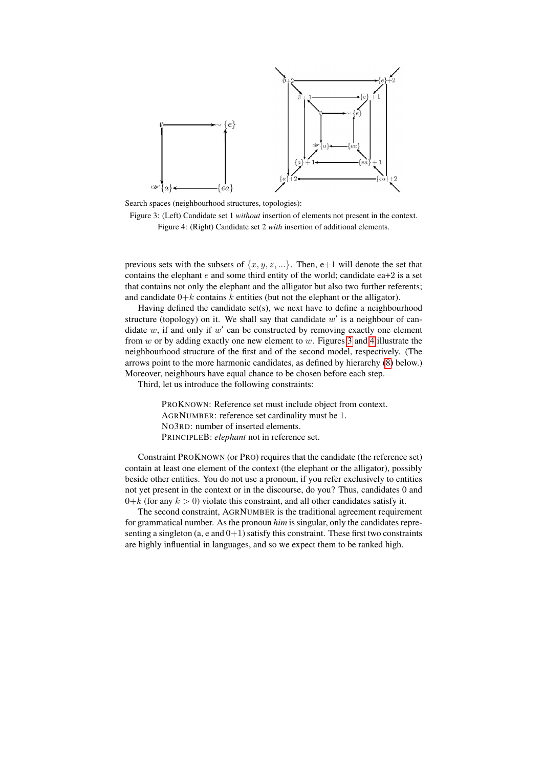

Search spaces (neighbourhood structures, topologies):

<span id="page-8-1"></span><span id="page-8-0"></span>Figure 3: (Left) Candidate set 1 *without* insertion of elements not present in the context. Figure 4: (Right) Candidate set 2 *with* insertion of additional elements.

previous sets with the subsets of  $\{x, y, z, ...\}$ . Then, e+1 will denote the set that contains the elephant  $e$  and some third entity of the world; candidate ea+2 is a set that contains not only the elephant and the alligator but also two further referents; and candidate  $0+k$  contains k entities (but not the elephant or the alligator).

Having defined the candidate set(s), we next have to define a neighbourhood structure (topology) on it. We shall say that candidate  $w'$  is a neighbour of candidate  $w$ , if and only if  $w'$  can be constructed by removing exactly one element from  $w$  or by adding exactly one new element to  $w$ . Figures [3](#page-8-0) and [4](#page-8-1) illustrate the neighbourhood structure of the first and of the second model, respectively. (The arrows point to the more harmonic candidates, as defined by hierarchy [\(8\)](#page-9-2) below.) Moreover, neighbours have equal chance to be chosen before each step.

Third, let us introduce the following constraints:

PROKNOWN: Reference set must include object from context. AGRNUMBER: reference set cardinality must be 1. NO3RD: number of inserted elements. PRINCIPLEB: *elephant* not in reference set.

Constraint PROKNOWN (or PRO) requires that the candidate (the reference set) contain at least one element of the context (the elephant or the alligator), possibly beside other entities. You do not use a pronoun, if you refer exclusively to entities not yet present in the context or in the discourse, do you? Thus, candidates 0 and  $0+k$  (for any  $k > 0$ ) violate this constraint, and all other candidates satisfy it.

The second constraint, AGRNUMBER is the traditional agreement requirement for grammatical number. As the pronoun *him* is singular, only the candidates representing a singleton (a,  $e$  and  $0+1$ ) satisfy this constraint. These first two constraints are highly influential in languages, and so we expect them to be ranked high.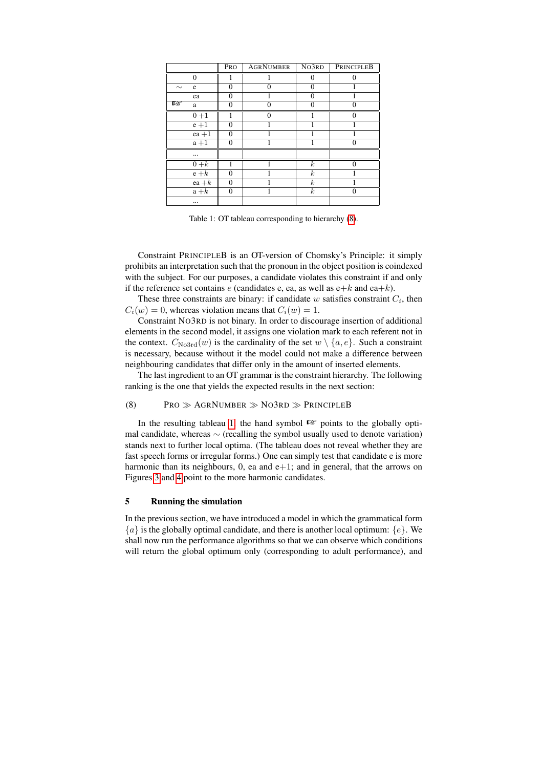|        |          | PRO          | <b>AGRNUMBER</b> | NO3RD            | PRINCIPLEB |
|--------|----------|--------------|------------------|------------------|------------|
|        | $\theta$ |              |                  | 0                | $\Omega$   |
| $\sim$ | e        | $\Omega$     | 0                | 0                |            |
|        | ea       | $\Omega$     |                  | 0                |            |
| 隐      | a        | $\theta$     | $\Omega$         | $\Omega$         | $\Omega$   |
|        | $0 + 1$  | 1            | $\theta$         |                  | $\Omega$   |
|        | $e + 1$  | $\Omega$     |                  |                  |            |
|        | $ea + 1$ | $\Omega$     |                  |                  |            |
|        | $a + 1$  | $\mathbf{0}$ |                  |                  | $\Omega$   |
|        |          |              |                  |                  |            |
|        | $0+k$    |              |                  | $\boldsymbol{k}$ | $\Omega$   |
|        | $e + k$  | $\Omega$     |                  | $\boldsymbol{k}$ |            |
|        | $ea + k$ | $\theta$     |                  | $\boldsymbol{k}$ |            |
|        | $a+k$    | $\mathbf{0}$ |                  | $\boldsymbol{k}$ | 0          |
|        |          |              |                  |                  |            |

<span id="page-9-1"></span>Table 1: OT tableau corresponding to hierarchy [\(8\)](#page-9-2).

Constraint PRINCIPLEB is an OT-version of Chomsky's Principle: it simply prohibits an interpretation such that the pronoun in the object position is coindexed with the subject. For our purposes, a candidate violates this constraint if and only if the reference set contains e (candidates e, ea, as well as  $e+k$  and ea+k).

These three constraints are binary: if candidate  $w$  satisfies constraint  $C_i$ , then  $C_i(w) = 0$ , whereas violation means that  $C_i(w) = 1$ .

Constraint NO3RD is not binary. In order to discourage insertion of additional elements in the second model, it assigns one violation mark to each referent not in the context.  $C_{\text{No3rd}}(w)$  is the cardinality of the set  $w \setminus \{a, e\}$ . Such a constraint is necessary, because without it the model could not make a difference between neighbouring candidates that differ only in the amount of inserted elements.

The last ingredient to an OT grammar is the constraint hierarchy. The following ranking is the one that yields the expected results in the next section:

## <span id="page-9-2"></span>(8) PRO  $\gg$  AGRNUMBER  $\gg$  NO3RD  $\gg$  PRINCIPLEB

In the resulting tableau [1,](#page-9-1) the hand symbol ☞ points to the globally optimal candidate, whereas  $\sim$  (recalling the symbol usually used to denote variation) stands next to further local optima. (The tableau does not reveal whether they are fast speech forms or irregular forms.) One can simply test that candidate e is more harmonic than its neighbours,  $0$ , ea and  $e+1$ ; and in general, that the arrows on Figures [3](#page-8-0) and [4](#page-8-1) point to the more harmonic candidates.

## <span id="page-9-0"></span>5 Running the simulation

In the previous section, we have introduced a model in which the grammatical form  ${a}$  is the globally optimal candidate, and there is another local optimum:  ${e}$ . We shall now run the performance algorithms so that we can observe which conditions will return the global optimum only (corresponding to adult performance), and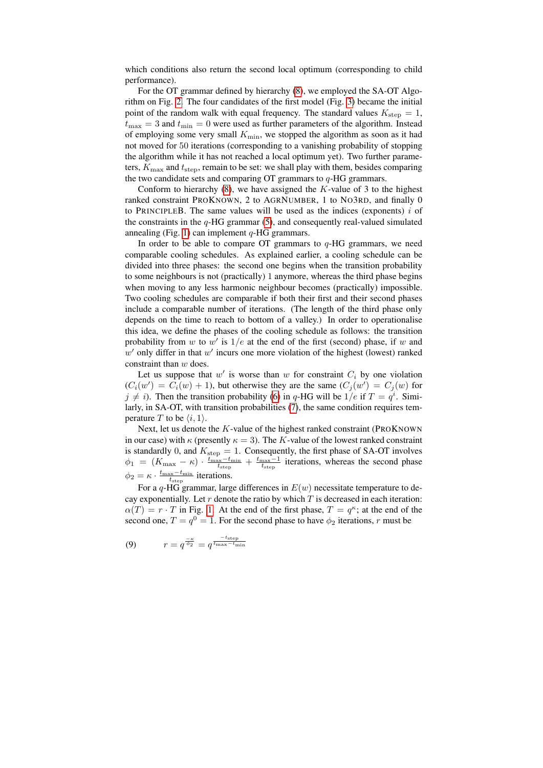which conditions also return the second local optimum (corresponding to child performance).

For the OT grammar defined by hierarchy [\(8\)](#page-9-2), we employed the SA-OT Algorithm on Fig. [2.](#page-6-0) The four candidates of the first model (Fig. [3\)](#page-8-0) became the initial point of the random walk with equal frequency. The standard values  $K_{\text{step}} = 1$ ,  $t_{\text{max}} = 3$  and  $t_{\text{min}} = 0$  were used as further parameters of the algorithm. Instead of employing some very small  $K_{\text{min}}$ , we stopped the algorithm as soon as it had not moved for 50 iterations (corresponding to a vanishing probability of stopping the algorithm while it has not reached a local optimum yet). Two further parameters,  $K_{\text{max}}$  and  $t_{\text{step}}$ , remain to be set: we shall play with them, besides comparing the two candidate sets and comparing OT grammars to  $q$ -HG grammars.

Conform to hierarchy  $(8)$ , we have assigned the K-value of 3 to the highest ranked constraint PROKNOWN, 2 to AGRNUMBER, 1 to NO3RD, and finally 0 to PRINCIPLEB. The same values will be used as the indices (exponents)  $i$  of the constraints in the  $q$ -HG grammar [\(5\)](#page-3-2), and consequently real-valued simulated annealing (Fig. [1\)](#page-5-0) can implement  $q$ -HG grammars.

In order to be able to compare OT grammars to  $q$ -HG grammars, we need comparable cooling schedules. As explained earlier, a cooling schedule can be divided into three phases: the second one begins when the transition probability to some neighbours is not (practically) 1 anymore, whereas the third phase begins when moving to any less harmonic neighbour becomes (practically) impossible. Two cooling schedules are comparable if both their first and their second phases include a comparable number of iterations. (The length of the third phase only depends on the time to reach to bottom of a valley.) In order to operationalise this idea, we define the phases of the cooling schedule as follows: the transition probability from w to w' is  $1/e$  at the end of the first (second) phase, if w and  $w'$  only differ in that  $w'$  incurs one more violation of the highest (lowest) ranked constraint than w does.

Let us suppose that  $w'$  is worse than  $w$  for constraint  $C_i$  by one violation  $(C_i(w') = C_i(w) + 1)$ , but otherwise they are the same  $(C_j(w') = C_j(w))$  for  $j \neq i$ ). Then the transition probability [\(6\)](#page-5-1) in q-HG will be  $1/e$  if  $T = q<sup>i</sup>$ . Similarly, in SA-OT, with transition probabilities [\(7\)](#page-6-1), the same condition requires temperature T to be  $\langle i, 1 \rangle$ .

Next, let us denote the  $K$ -value of the highest ranked constraint (PROKNOWN) in our case) with  $\kappa$  (presently  $\kappa = 3$ ). The K-value of the lowest ranked constraint is standardly 0, and  $K_{\text{step}} = 1$ . Consequently, the first phase of SA-OT involves  $\phi_1 = (K_{\text{max}} - \kappa) \cdot \frac{t_{\text{max}} - t_{\text{min}}}{t_{\text{step}}} + \frac{t_{\text{max}} - 1}{t_{\text{step}}}$  iterations, whereas the second phase  $\phi_2 = \kappa \cdot \frac{t_{\text{max}} - t_{\text{min}}}{t_{\text{step}}}$  iterations.

For a q-HG grammar, large differences in  $E(w)$  necessitate temperature to decay exponentially. Let  $r$  denote the ratio by which  $T$  is decreased in each iteration:  $\alpha(T) = r \cdot T$  in Fig. [1.](#page-5-0) At the end of the first phase,  $T = q^{\kappa}$ ; at the end of the second one,  $T = q^0 = 1$ . For the second phase to have  $\phi_2$  iterations, r must be

$$
(9) \qquad \qquad r = q^{\frac{-\kappa}{\phi_2}} = q^{\frac{-t_{\text{step}}}{t_{\text{max}} - t_{\text{min}}}}
$$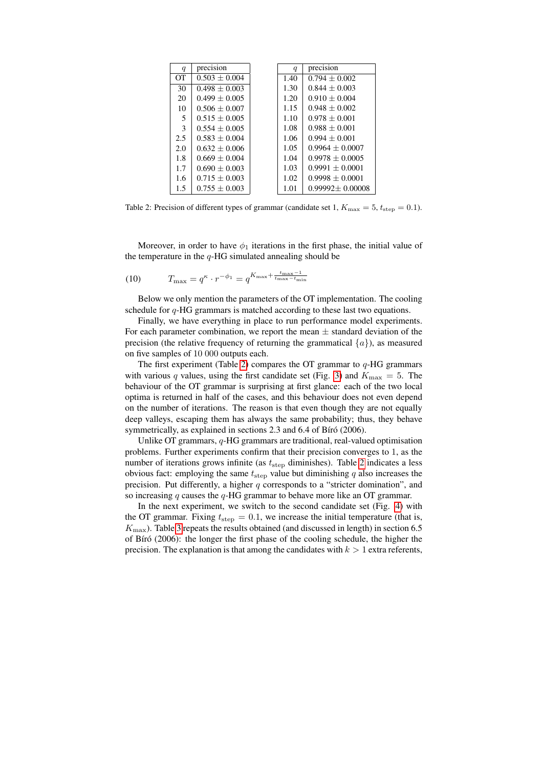| q               | precision         | q    | precision             |
|-----------------|-------------------|------|-----------------------|
| $\overline{or}$ | $0.503 + 0.004$   | 1.40 | $0.794 + 0.002$       |
| 30              | $0.498 \pm 0.003$ | 1.30 | $0.844 + 0.003$       |
| 20              | $0.499 + 0.005$   | 1.20 | $0.910 + 0.004$       |
| 10              | $0.506 \pm 0.007$ | 1.15 | $0.948 + 0.002$       |
| 5               | $0.515 + 0.005$   | 1.10 | $0.978 + 0.001$       |
| 3               | $0.554 + 0.005$   | 1.08 | $0.988 + 0.001$       |
| 2.5             | $0.583 + 0.004$   | 1.06 | $0.994 + 0.001$       |
| 2.0             | $0.632 + 0.006$   | 1.05 | $0.9964 + 0.0007$     |
| 1.8             | $0.669 + 0.004$   | 1.04 | $0.9978 + 0.0005$     |
| 1.7             | $0.690 \pm 0.003$ | 1.03 | $0.9991 \pm 0.0001$   |
| 1.6             | $0.715 + 0.003$   | 1.02 | $0.9998 + 0.0001$     |
| 1.5             | $0.755 + 0.003$   | 1.01 | $0.99992 \pm 0.00008$ |

<span id="page-11-0"></span>Table 2: Precision of different types of grammar (candidate set 1,  $K_{\text{max}} = 5$ ,  $t_{\text{step}} = 0.1$ ).

Moreover, in order to have  $\phi_1$  iterations in the first phase, the initial value of the temperature in the  $q$ -HG simulated annealing should be

(10) 
$$
T_{\max} = q^{\kappa} \cdot r^{-\phi_1} = q^{K_{\max} + \frac{t_{\max} - 1}{t_{\max} - t_{\min}}}
$$

Below we only mention the parameters of the OT implementation. The cooling schedule for  $q$ -HG grammars is matched according to these last two equations.

Finally, we have everything in place to run performance model experiments. For each parameter combination, we report the mean  $\pm$  standard deviation of the precision (the relative frequency of returning the grammatical  $\{a\}$ ), as measured on five samples of 10 000 outputs each.

The first experiment (Table [2\)](#page-11-0) compares the OT grammar to  $q$ -HG grammars with various q values, using the first candidate set (Fig. [3\)](#page-8-0) and  $K_{\text{max}} = 5$ . The behaviour of the OT grammar is surprising at first glance: each of the two local optima is returned in half of the cases, and this behaviour does not even depend on the number of iterations. The reason is that even though they are not equally deep valleys, escaping them has always the same probability; thus, they behave symmetrically, as explained in sections 2.3 and 6.4 of Bíró (2006).

Unlike OT grammars, q-HG grammars are traditional, real-valued optimisation problems. Further experiments confirm that their precision converges to 1, as the number of iterations grows infinite (as  $t_{\text{step}}$  diminishes). Table [2](#page-11-0) indicates a less obvious fact: employing the same  $t_{\text{step}}$  value but diminishing q also increases the precision. Put differently, a higher  $q$  corresponds to a "stricter domination", and so increasing  $q$  causes the  $q$ -HG grammar to behave more like an OT grammar.

In the next experiment, we switch to the second candidate set (Fig. [4\)](#page-8-1) with the OT grammar. Fixing  $t_{\text{step}} = 0.1$ , we increase the initial temperature (that is,  $K_{\text{max}}$ ). Table [3](#page-12-0) repeats the results obtained (and discussed in length) in section 6.5 of Bíró (2006): the longer the first phase of the cooling schedule, the higher the precision. The explanation is that among the candidates with  $k > 1$  extra referents,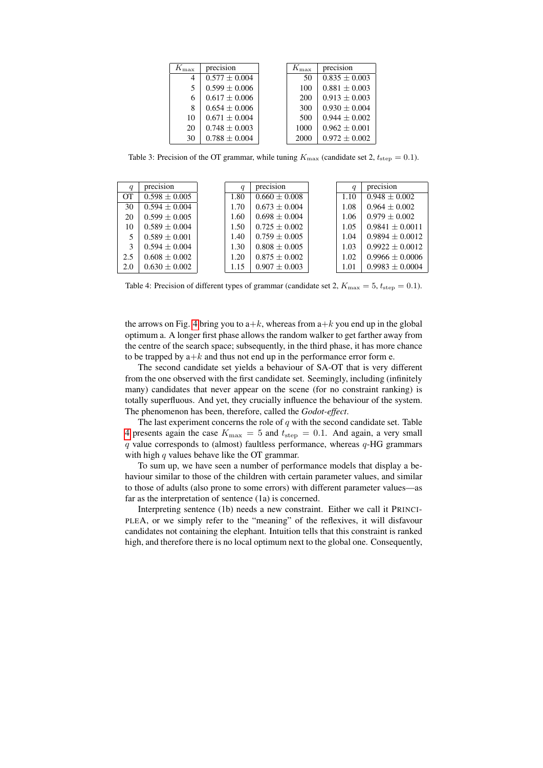| $K_{\rm max}$ | precision         | $K_{\rm max}$ | precision         |
|---------------|-------------------|---------------|-------------------|
| 4             | $0.577 + 0.004$   | 50            | $0.835 + 0.003$   |
| 5.            | $0.599 \pm 0.006$ | 100           | $0.881 \pm 0.003$ |
| 6             | $0.617 \pm 0.006$ | 200           | $0.913 + 0.003$   |
| 8             | $0.654 + 0.006$   | 300           | $0.930 + 0.004$   |
| 10            | $0.671 + 0.004$   | 500           | $0.944 + 0.002$   |
| 20            | $0.748 + 0.003$   | 1000          | $0.962 + 0.001$   |
| 30            | $0.788 + 0.004$   | 2000          | $0.972 + 0.002$   |

<span id="page-12-0"></span>Table 3: Precision of the OT grammar, while tuning  $K_{\text{max}}$  (candidate set 2,  $t_{\text{step}} = 0.1$ ).

| $\boldsymbol{q}$ | precision         | $\boldsymbol{q}$ | precision         | a    | precision           |
|------------------|-------------------|------------------|-------------------|------|---------------------|
| <b>OT</b>        | $0.598 \pm 0.005$ | 1.80             | $0.660 \pm 0.008$ | 1.10 | $0.948 \pm 0.002$   |
| 30               | $0.594 \pm 0.004$ | 1.70             | $0.673 \pm 0.004$ | 1.08 | $0.964 + 0.002$     |
| 20               | $0.599 \pm 0.005$ | 1.60             | $0.698 + 0.004$   | 1.06 | $0.979 \pm 0.002$   |
| 10               | $0.589 \pm 0.004$ | 1.50             | $0.725 + 0.002$   | 1.05 | $0.9841 \pm 0.0011$ |
| 5                | $0.589 + 0.001$   | 1.40             | $0.759 + 0.005$   | 1.04 | $0.9894 + 0.0012$   |
| 3                | $0.594 + 0.004$   | 1.30             | $0.808 \pm 0.005$ | 1.03 | $0.9922 \pm 0.0012$ |
| 2.5              | $0.608 \pm 0.002$ | 1.20             | $0.875 \pm 0.002$ | 1.02 | $0.9966 \pm 0.0006$ |
| 2.0              | $0.630 \pm 0.002$ | 1.15             | $0.907 \pm 0.003$ | 1.01 | $0.9983 \pm 0.0004$ |

<span id="page-12-1"></span>Table 4: Precision of different types of grammar (candidate set 2,  $K_{\text{max}} = 5$ ,  $t_{\text{step}} = 0.1$ ).

the arrows on Fig. [4](#page-8-1) bring you to  $a+k$ , whereas from  $a+k$  you end up in the global optimum a. A longer first phase allows the random walker to get farther away from the centre of the search space; subsequently, in the third phase, it has more chance to be trapped by  $a+k$  and thus not end up in the performance error form e.

The second candidate set yields a behaviour of SA-OT that is very different from the one observed with the first candidate set. Seemingly, including (infinitely many) candidates that never appear on the scene (for no constraint ranking) is totally superfluous. And yet, they crucially influence the behaviour of the system. The phenomenon has been, therefore, called the *Godot-effect*.

The last experiment concerns the role of  $q$  with the second candidate set. Table [4](#page-12-1) presents again the case  $K_{\text{max}} = 5$  and  $t_{\text{step}} = 0.1$ . And again, a very small  $q$  value corresponds to (almost) faultless performance, whereas  $q$ -HG grammars with high  $q$  values behave like the OT grammar.

To sum up, we have seen a number of performance models that display a behaviour similar to those of the children with certain parameter values, and similar to those of adults (also prone to some errors) with different parameter values—as far as the interpretation of sentence (1a) is concerned.

Interpreting sentence (1b) needs a new constraint. Either we call it PRINCI-PLEA, or we simply refer to the "meaning" of the reflexives, it will disfavour candidates not containing the elephant. Intuition tells that this constraint is ranked high, and therefore there is no local optimum next to the global one. Consequently,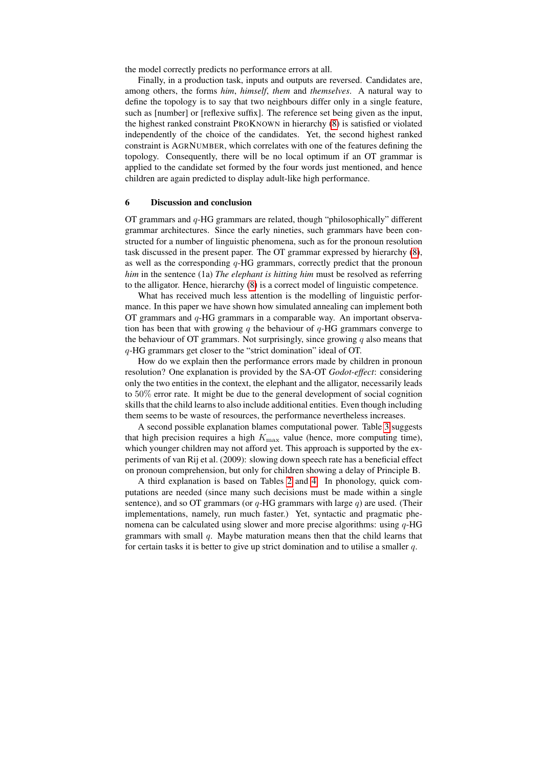the model correctly predicts no performance errors at all.

Finally, in a production task, inputs and outputs are reversed. Candidates are, among others, the forms *him*, *himself*, *them* and *themselves*. A natural way to define the topology is to say that two neighbours differ only in a single feature, such as [number] or [reflexive suffix]. The reference set being given as the input, the highest ranked constraint PROKNOWN in hierarchy [\(8\)](#page-9-2) is satisfied or violated independently of the choice of the candidates. Yet, the second highest ranked constraint is AGRNUMBER, which correlates with one of the features defining the topology. Consequently, there will be no local optimum if an OT grammar is applied to the candidate set formed by the four words just mentioned, and hence children are again predicted to display adult-like high performance.

#### <span id="page-13-0"></span>6 Discussion and conclusion

OT grammars and q-HG grammars are related, though "philosophically" different grammar architectures. Since the early nineties, such grammars have been constructed for a number of linguistic phenomena, such as for the pronoun resolution task discussed in the present paper. The OT grammar expressed by hierarchy [\(8\)](#page-9-2), as well as the corresponding  $q$ -HG grammars, correctly predict that the pronoun *him* in the sentence (1a) *The elephant is hitting him* must be resolved as referring to the alligator. Hence, hierarchy [\(8\)](#page-9-2) is a correct model of linguistic competence.

What has received much less attention is the modelling of linguistic performance. In this paper we have shown how simulated annealing can implement both OT grammars and q-HG grammars in a comparable way. An important observation has been that with growing q the behaviour of  $q$ -HG grammars converge to the behaviour of OT grammars. Not surprisingly, since growing  $q$  also means that q-HG grammars get closer to the "strict domination" ideal of OT.

How do we explain then the performance errors made by children in pronoun resolution? One explanation is provided by the SA-OT *Godot-effect*: considering only the two entities in the context, the elephant and the alligator, necessarily leads to 50% error rate. It might be due to the general development of social cognition skills that the child learns to also include additional entities. Even though including them seems to be waste of resources, the performance nevertheless increases.

A second possible explanation blames computational power. Table [3](#page-12-0) suggests that high precision requires a high  $K_{\text{max}}$  value (hence, more computing time), which younger children may not afford yet. This approach is supported by the experiments of van Rij et al. (2009): slowing down speech rate has a beneficial effect on pronoun comprehension, but only for children showing a delay of Principle B.

A third explanation is based on Tables [2](#page-11-0) and [4.](#page-12-1) In phonology, quick computations are needed (since many such decisions must be made within a single sentence), and so OT grammars (or  $q$ -HG grammars with large  $q$ ) are used. (Their implementations, namely, run much faster.) Yet, syntactic and pragmatic phenomena can be calculated using slower and more precise algorithms: using  $q$ -HG grammars with small  $q$ . Maybe maturation means then that the child learns that for certain tasks it is better to give up strict domination and to utilise a smaller  $q$ .